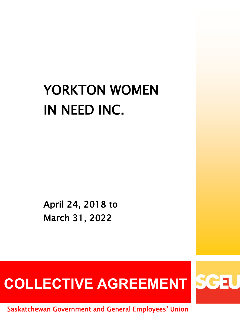# YORKTON WOMEN IN NEED INC.

April 24, 2018 to March 31, 2022

# COLLECTIVE AGREEMENT SGEU

Saskatchewan Government and General Employees' Union

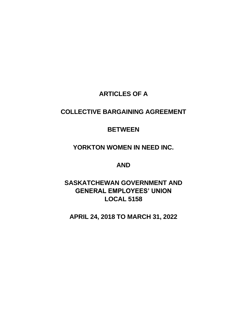# **ARTICLES OF A**

# **COLLECTIVE BARGAINING AGREEMENT**

# **BETWEEN**

# **YORKTON WOMEN IN NEED INC.**

# **AND**

# **SASKATCHEWAN GOVERNMENT AND GENERAL EMPLOYEES' UNION LOCAL 5158**

**APRIL 24, 2018 TO MARCH 31, 2022**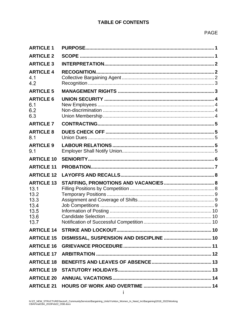# **TABLE OF CONTENTS**

| <b>ARTICLE 1</b>                                                          |                                                     |  |
|---------------------------------------------------------------------------|-----------------------------------------------------|--|
| <b>ARTICLE 2</b>                                                          |                                                     |  |
| <b>ARTICLE 3</b>                                                          |                                                     |  |
| <b>ARTICLE 4</b><br>4.1<br>4.2                                            |                                                     |  |
| <b>ARTICLE 5</b>                                                          |                                                     |  |
| <b>ARTICLE 6</b><br>6.1<br>6.2<br>6.3                                     |                                                     |  |
| <b>ARTICLE 7</b>                                                          |                                                     |  |
| <b>ARTICLE 8</b><br>8.1                                                   |                                                     |  |
| <b>ARTICLE 9</b><br>9.1                                                   |                                                     |  |
| <b>ARTICLE 10</b>                                                         |                                                     |  |
|                                                                           |                                                     |  |
| <b>ARTICLE 11</b>                                                         |                                                     |  |
| <b>ARTICLE 12</b>                                                         |                                                     |  |
| <b>ARTICLE 13</b><br>13.1<br>13.2<br>13.3<br>13.4<br>13.5<br>13.6<br>13.7 |                                                     |  |
|                                                                           |                                                     |  |
|                                                                           | ARTICLE 15 DISMISSAL, SUSPENSION AND DISCIPLINE  10 |  |
|                                                                           |                                                     |  |
| <b>ARTICLE 17</b>                                                         |                                                     |  |
|                                                                           |                                                     |  |
|                                                                           |                                                     |  |
|                                                                           |                                                     |  |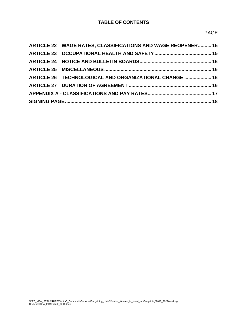# **TABLE OF CONTENTS**

| ARTICLE 22 WAGE RATES, CLASSIFICATIONS AND WAGE REOPENER 15 |  |
|-------------------------------------------------------------|--|
|                                                             |  |
|                                                             |  |
|                                                             |  |
| ARTICLE 26 TECHNOLOGICAL AND ORGANIZATIONAL CHANGE  16      |  |
|                                                             |  |
|                                                             |  |
|                                                             |  |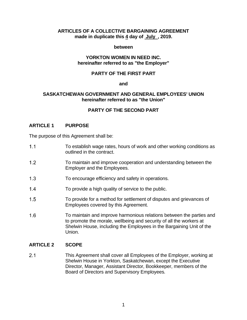## **ARTICLES OF A COLLECTIVE BARGAINING AGREEMENT made in duplicate this 4 day of July , 2019.**

### **between**

### **YORKTON WOMEN IN NEED INC. hereinafter referred to as "the Employer"**

## **PARTY OF THE FIRST PART**

### **and**

### **SASKATCHEWAN GOVERNMENT AND GENERAL EMPLOYEES' UNION hereinafter referred to as "the Union"**

# **PARTY OF THE SECOND PART**

### <span id="page-4-0"></span>**ARTICLE 1 PURPOSE**

The purpose of this Agreement shall be:

- $1.1$ To establish wage rates, hours of work and other working conditions as outlined in the contract.
- $1.2<sub>2</sub>$ To maintain and improve cooperation and understanding between the Employer and the Employees.
- $1.3$ To encourage efficiency and safety in operations.
- $1.4$ To provide a high quality of service to the public.
- $1.5$ To provide for a method for settlement of disputes and grievances of Employees covered by this Agreement.
- $1.6$ To maintain and improve harmonious relations between the parties and to promote the morale, wellbeing and security of all the workers at Shelwin House, including the Employees in the Bargaining Unit of the Union.

# <span id="page-4-1"></span>**ARTICLE 2 SCOPE**

 $2.1$ This Agreement shall cover all Employees of the Employer, working at Shelwin House in Yorkton, Saskatchewan, except the Executive Director, Manager, Assistant Director, Bookkeeper, members of the Board of Directors and Supervisory Employees*.*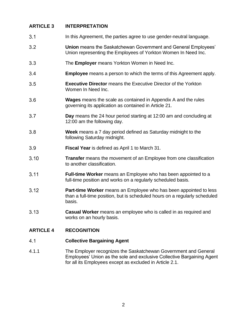# <span id="page-5-0"></span>**ARTICLE 3 INTERPRETATION**

- $3.1$ In this Agreement, the parties agree to use gender-neutral language.
- $3.2$ **Union** means the Saskatchewan Government and General Employees' Union representing the Employees of Yorkton Women In Need Inc.
- $3.3$ The **Employer** means Yorkton Women in Need Inc.
- $3.4$ **Employee** means a person to which the terms of this Agreement apply.
- $3.5$ **Executive Director** means the Executive Director of the Yorkton Women In Need Inc.
- $3.6$ **Wages** means the scale as contained in Appendix A and the rules governing its application as contained in Article 21.
- $3.7$ **Day** means the 24 hour period starting at 12:00 am and concluding at 12:00 am the following day.
- $3.8$ **Week** means a 7 day period defined as Saturday midnight to the following Saturday midnight.
- 3.9 **Fiscal Year** is defined as April 1 to March 31.
- $3.10$ **Transfer** means the movement of an Employee from one classification to another classification.
- $3.11$ **Full-time Worker** means an Employee who has been appointed to a full-time position and works on a regularly scheduled basis.
- $3.12$ **Part-time Worker** means an Employee who has been appointed to less than a full-time position, but is scheduled hours on a regularly scheduled basis.
- $3.13$ **Casual Worker** means an employee who is called in as required and works on an hourly basis.

# <span id="page-5-2"></span><span id="page-5-1"></span>**ARTICLE 4 RECOGNITION**

#### $4.1$ **Collective Bargaining Agent**

4.1.1 The Employer recognizes the Saskatchewan Government and General Employees' Union as the sole and exclusive Collective Bargaining Agent for all its Employees except as excluded in Article 2.1.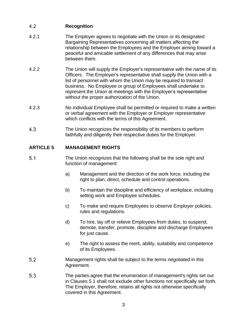#### <span id="page-6-0"></span>4.2 **Recognition**

- 4.2.1 The Employer agrees to negotiate with the Union or its designated Bargaining Representatives concerning all matters affecting the relationship between the Employees and the Employer aiming toward a peaceful and amicable settlement of any differences that may arise between them.
- 4.2.2 The Union will supply the Employer's representative with the name of its Officers. The Employer's representative shall supply the Union with a list of personnel with whom the Union may be required to transact business. No Employee or group of Employees shall undertake to represent the Union at meetings with the Employer's representative without the proper authorization of the Union.
- 4.2.3 No individual Employee shall be permitted or required to make a written or verbal agreement with the Employer or Employer representative which conflicts with the terms of this Agreement.
- 4.3 The Union recognizes the responsibility of its members to perform faithfully and diligently their respective duties for the Employer.

# <span id="page-6-1"></span>**ARTICLE 5 MANAGEMENT RIGHTS**

- $5.1$ The Union recognizes that the following shall be the sole right and function of management:
	- a) Management and the direction of the work force, including the right to plan, direct, schedule and control operations.
	- b) To maintain the discipline and efficiency of workplace, including setting work and Employee schedules.
	- c) To make and require Employees to observe Employer policies, rules and regulations.
	- d) To hire, lay off or relieve Employees from duties, to suspend, demote, transfer, promote, discipline and discharge Employees for just cause.
	- e) The right to assess the merit, ability, suitability and competence of its Employees.
- $5.2$ Management rights shall be subject to the terms negotiated in this Agreement.
- 5.3 The parties agree that the enumeration of management's rights set out in Clauses 5.1 shall not exclude other functions not specifically set forth. The Employer, therefore, retains all rights not otherwise specifically covered in this Agreement.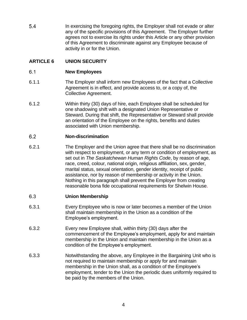5.4 In exercising the foregoing rights, the Employer shall not evade or alter any of the specific provisions of this Agreement. The Employer further agrees not to exercise its rights under this Article or any other provision of this Agreement to discriminate against any Employee because of activity in or for the Union.

# <span id="page-7-0"></span>**ARTICLE 6 UNION SECURITY**

#### <span id="page-7-1"></span> $6.1$ **New Employees**

- 6.1.1 The Employer shall inform new Employees of the fact that a Collective Agreement is in effect, and provide access to, or a copy of, the Collective Agreement.
- 6.1.2 Within thirty (30) days of hire, each Employee shall be scheduled for one shadowing shift with a designated Union Representative or Steward. During that shift, the Representative or Steward shall provide an orientation of the Employee on the rights, benefits and duties associated with Union membership.

#### <span id="page-7-2"></span> $6.2$ **Non-discrimination**

6.2.1 The Employer and the Union agree that there shall be no discrimination with respect to employment, or any term or condition of employment, as set out in *The Saskatchewan Human Rights Code*, by reason of age, race, creed, colour, national origin, religious affiliation, sex, gender, marital status, sexual orientation, gender identity, receipt of public assistance, nor by reason of membership or activity in the Union. Nothing in this paragraph shall prevent the Employer from creating reasonable bona fide occupational requirements for Shelwin House.

#### <span id="page-7-3"></span>6.3 **Union Membership**

- 6.3.1 Every Employee who is now or later becomes a member of the Union shall maintain membership in the Union as a condition of the Employee's employment.
- 6.3.2 Every new Employee shall, within thirty (30) days after the commencement of the Employee's employment, apply for and maintain membership in the Union and maintain membership in the Union as a condition of the Employee's employment.
- 6.3.3 Notwithstanding the above, any Employee in the Bargaining Unit who is not required to maintain membership or apply for and maintain membership in the Union shall, as a condition of the Employee's employment, tender to the Union the periodic dues uniformly required to be paid by the members of the Union.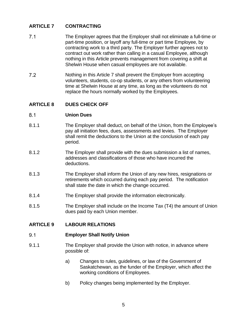# <span id="page-8-0"></span>**ARTICLE 7 CONTRACTING**

- $7.1$ The Employer agrees that the Employer shall not eliminate a full-time or part-time position, or layoff any full-time or part time Employee, by contracting work to a third party. The Employer further agrees not to contract out work rather than calling in a casual Employee, although nothing in this Article prevents management from covering a shift at Shelwin House when casual employees are not available.
- $7.2$ Nothing in this Article 7 shall prevent the Employer from accepting volunteers, students, co-op students, or any others from volunteering time at Shelwin House at any time, as long as the volunteers do not replace the hours normally worked by the Employees.

# <span id="page-8-1"></span>**ARTICLE 8 DUES CHECK OFF**

#### <span id="page-8-2"></span> $8.1$ **Union Dues**

- 8.1.1 The Employer shall deduct, on behalf of the Union, from the Employee's pay all initiation fees, dues, assessments and levies. The Employer shall remit the deductions to the Union at the conclusion of each pay period.
- 8.1.2 The Employer shall provide with the dues submission a list of names, addresses and classifications of those who have incurred the deductions.
- 8.1.3 The Employer shall inform the Union of any new hires, resignations or retirements which occurred during each pay period. The notification shall state the date in which the change occurred.
- 8.1.4 The Employer shall provide the information electronically.
- 8.1.5 The Employer shall include on the Income Tax (T4) the amount of Union dues paid by each Union member.

# <span id="page-8-3"></span>**ARTICLE 9 LABOUR RELATIONS**

#### <span id="page-8-4"></span> $9.1$ **Employer Shall Notify Union**

- 9.1.1 The Employer shall provide the Union with notice, in advance where possible of:
	- a) Changes to rules, guidelines, or law of the Government of Saskatchewan, as the funder of the Employer, which affect the working conditions of Employees.
	- b) Policy changes being implemented by the Employer.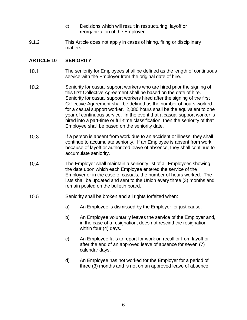- c) Decisions which will result in restructuring, layoff or reorganization of the Employer.
- 9.1.2 This Article does not apply in cases of hiring, firing or disciplinary matters.

# <span id="page-9-0"></span>**ARTICLE 10 SENIORITY**

- $10.1$ The seniority for Employees shall be defined as the length of continuous service with the Employer from the original date of hire.
- $10.2$ Seniority for casual support workers who are hired prior the signing of this first Collective Agreement shall be based on the date of hire. Seniority for casual support workers hired after the signing of the first Collective Agreement shall be defined as the number of hours worked for a casual support worker. 2,080 hours shall be the equivalent to one year of continuous service. In the event that a casual support worker is hired into a part-time or full-time classification, then the seniority of that Employee shall be based on the seniority date.
- $10.3$ If a person is absent from work due to an accident or illness, they shall continue to accumulate seniority. If an Employee is absent from work because of layoff or authorized leave of absence, they shall continue to accumulate seniority.
- $10.4$ The Employer shall maintain a seniority list of all Employees showing the date upon which each Employee entered the service of the Employer or in the case of casuals, the number of hours worked. The lists shall be updated and sent to the Union every three (3) months and remain posted on the bulletin board.
- $10.5$ Seniority shall be broken and all rights forfeited when:
	- a) An Employee is dismissed by the Employer for just cause.
	- b) An Employee voluntarily leaves the service of the Employer and, in the case of a resignation, does not rescind the resignation within four (4) days.
	- c) An Employee fails to report for work on recall or from layoff or after the end of an approved leave of absence for seven (7) calendar days.
	- d) An Employee has not worked for the Employer for a period of three (3) months and is not on an approved leave of absence.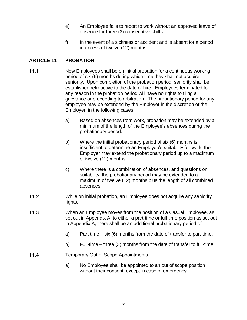- e) An Employee fails to report to work without an approved leave of absence for three (3) consecutive shifts.
- f) In the event of a sickness or accident and is absent for a period in excess of twelve (12) months.

# <span id="page-10-0"></span>**ARTICLE 11 PROBATION**

- $11.1$ New Employees shall be on initial probation for a continuous working period of six (6) months during which time they shall not acquire seniority. Upon completion of the probation period, seniority shall be established retroactive to the date of hire. Employees terminated for any reason in the probation period will have no rights to filing a grievance or proceeding to arbitration. The probationary period for any employee may be extended by the Employer in the discretion of the Employer, in the following cases:
	- a) Based on absences from work, probation may be extended by a minimum of the length of the Employee's absences during the probationary period.
	- b) Where the initial probationary period of six (6) months is insufficient to determine an Employee's suitability for work, the Employer may extend the probationary period up to a maximum of twelve (12) months.
	- c) Where there is a combination of absences, and questions on suitability, the probationary period may be extended to a maximum of twelve (12) months plus the length of all combined absences.
- $112$ While on initial probation, an Employee does not acquire any seniority rights.
- $11.3$ When an Employee moves from the position of a Casual Employee, as set out in Appendix A, to either a part-time or full-time position as set out in Appendix A, there shall be an additional probationary period of:
	- a) Part-time six (6) months from the date of transfer to part-time.
	- b) Full-time three (3) months from the date of transfer to full-time.
- $11.4$ Temporary Out of Scope Appointments
	- a) No Employee shall be appointed to an out of scope position without their consent, except in case of emergency.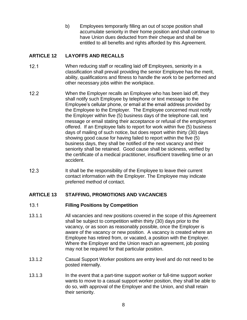b) Employees temporarily filling an out of scope position shall accumulate seniority in their home position and shall continue to have Union dues deducted from their cheque and shall be entitled to all benefits and rights afforded by this Agreement.

# <span id="page-11-0"></span>**ARTICLE 12 LAYOFFS AND RECALLS**

- $12.1$ When reducing staff or recalling laid off Employees, seniority in a classification shall prevail providing the senior Employee has the merit, ability, qualifications and fitness to handle the work to be performed and other necessary jobs within the workplace.
- $12.2$ When the Employer recalls an Employee who has been laid off, they shall notify such Employee by telephone or text message to the Employee's cellular phone, or email at the email address provided by the Employee to the Employer. The Employee concerned must notify the Employer within five (5) business days of the telephone call, text message or email stating their acceptance or refusal of the employment offered. If an Employee fails to report for work within five (5) business days of mailing of such notice, but does report within thirty (30) days showing good cause for having failed to report within the five (5) business days, they shall be notified of the next vacancy and their seniority shall be retained. Good cause shall be sickness, verified by the certificate of a medical practitioner, insufficient travelling time or an accident.
- $12.3$ It shall be the responsibility of the Employee to leave their current contact information with the Employer. The Employee may indicate preferred method of contact.

# <span id="page-11-1"></span>**ARTICLE 13 STAFFING, PROMOTIONS AND VACANCIES**

#### <span id="page-11-2"></span> $13.1$ **Filling Positions by Competition**

- 13.1.1 All vacancies and new positions covered in the scope of this Agreement shall be subject to competition within thirty (30) days prior to the vacancy, or as soon as reasonably possible, once the Employer is aware of the vacancy or new position. A vacancy is created where an Employee has retired from, or vacated, a position with the Employer. Where the Employer and the Union reach an agreement, job posting may not be required for that particular position.
- 13.1.2 Casual Support Worker positions are entry level and do not need to be posted internally.
- 13.1.3 In the event that a part-time support worker or full-time support worker wants to move to a casual support worker position, they shall be able to do so, with approval of the Employer and the Union, and shall retain their seniority.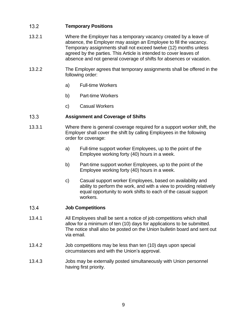#### <span id="page-12-0"></span> $13.2$ **Temporary Positions**

- 13.2.1 Where the Employer has a temporary vacancy created by a leave of absence, the Employer may assign an Employee to fill the vacancy. Temporary assignments shall not exceed twelve (12) months unless agreed by the parties. This Article is intended to cover leaves of absence and not general coverage of shifts for absences or vacation.
- 13.2.2 The Employer agrees that temporary assignments shall be offered in the following order:
	- a) Full-time Workers
	- b) Part-time Workers
	- c) Casual Workers

#### <span id="page-12-1"></span> $13.3$ **Assignment and Coverage of Shifts**

- 13.3.1 Where there is general coverage required for a support worker shift, the Employer shall cover the shift by calling Employees in the following order for coverage:
	- a) Full-time support worker Employees, up to the point of the Employee working forty (40) hours in a week.
	- b) Part-time support worker Employees, up to the point of the Employee working forty (40) hours in a week.
	- c) Casual support worker Employees, based on availability and ability to perform the work, and with a view to providing relatively equal opportunity to work shifts to each of the casual support workers.

#### <span id="page-12-2"></span> $13.4$ **Job Competitions**

- 13.4.1 All Employees shall be sent a notice of job competitions which shall allow for a minimum of ten (10) days for applications to be submitted. The notice shall also be posted on the Union bulletin board and sent out via email.
- 13.4.2 Job competitions may be less than ten (10) days upon special circumstances and with the Union's approval.
- 13.4.3 Jobs may be externally posted simultaneously with Union personnel having first priority.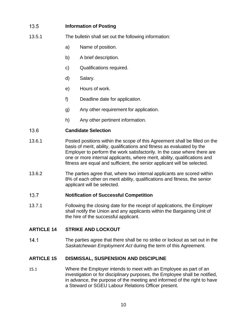#### <span id="page-13-0"></span> $13.5$ **Information of Posting**

- 13.5.1 The bulletin shall set out the following information:
	- a) Name of position.
	- b) A brief description.
	- c) Qualifications required.
	- d) Salary.
	- e) Hours of work.
	- f) Deadline date for application.
	- g) Any other requirement for application.
	- h) Any other pertinent information.

#### <span id="page-13-1"></span>13.6 **Candidate Selection**

- 13.6.1 Posted positions within the scope of this Agreement shall be filled on the basis of merit, ability, qualifications and fitness as evaluated by the Employer to perform the work satisfactorily. In the case where there are one or more internal applicants, where merit, ability, qualifications and fitness are equal and sufficient, the senior applicant will be selected.
- 13.6.2 The parties agree that, where two internal applicants are scored within 8% of each other on merit ability, qualifications and fitness, the senior applicant will be selected.

#### <span id="page-13-2"></span> $13.7$ **Notification of Successful Competition**

13.7.1 Following the closing date for the receipt of applications, the Employer shall notify the Union and any applicants within the Bargaining Unit of the hire of the successful applicant.

# <span id="page-13-3"></span>**ARTICLE 14 STRIKE AND LOCKOUT**

 $14.1$ The parties agree that there shall be no strike or lockout as set out in the *Saskatchewan Employment Act* during the term of this Agreement.

# <span id="page-13-4"></span>**ARTICLE 15 DISMISSAL, SUSPENSION AND DISCIPLINE**

 $15.1$ Where the Employer intends to meet with an Employee as part of an investigation or for disciplinary purposes, the Employee shall be notified, in advance, the purpose of the meeting and informed of the right to have a Steward or SGEU Labour Relations Officer present.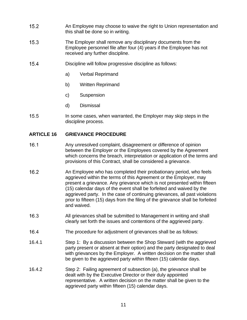- $15.2$ An Employee may choose to waive the right to Union representation and this shall be done so in writing.
- $15.3$ The Employer shall remove any disciplinary documents from the Employee personnel file after four (4) years if the Employee has not received any further discipline.
- $15.4$ Discipline will follow progressive discipline as follows:
	- a) Verbal Reprimand
	- b) Written Reprimand
	- c) Suspension
	- d) Dismissal
- $15.5$ In some cases, when warranted, the Employer may skip steps in the discipline process.

# <span id="page-14-0"></span>**ARTICLE 16 GRIEVANCE PROCEDURE**

- $16.1$ Any unresolved complaint, disagreement or difference of opinion between the Employer or the Employees covered by the Agreement which concerns the breach, interpretation or application of the terms and provisions of this Contract, shall be considered a grievance.
- $16.2$ An Employee who has completed their probationary period, who feels aggrieved within the terms of this Agreement or the Employer, may present a grievance. Any grievance which is not presented within fifteen (15) calendar days of the event shall be forfeited and waived by the aggrieved party. In the case of continuing grievances, all past violations prior to fifteen (15) days from the filing of the grievance shall be forfeited and waived.
- $16.3$ All grievances shall be submitted to Management in writing and shall clearly set forth the issues and contentions of the aggrieved party.
- $16.4$ The procedure for adjustment of grievances shall be as follows:
- 16.4.1 Step 1: By a discussion between the Shop Steward (with the aggrieved party present or absent at their option) and the party designated to deal with grievances by the Employer. A written decision on the matter shall be given to the aggrieved party within fifteen (15) calendar days.
- 16.4.2 Step 2: Failing agreement of subsection (a), the grievance shall be dealt with by the Executive Director or their duly appointed representative. A written decision on the matter shall be given to the aggrieved party within fifteen (15) calendar days.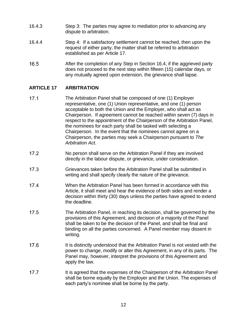- 16.4.3 Step 3: The parties may agree to mediation prior to advancing any dispute to arbitration.
- 16.4.4 Step 4: If a satisfactory settlement cannot be reached, then upon the request of either party, the matter shall be referred to arbitration established as per Article 17.
- 16.5 After the completion of any Step in Section 16.4, if the aggrieved party does not proceed to the next step within fifteen (15) calendar days, or any mutually agreed upon extension, the grievance shall lapse.

# <span id="page-15-0"></span>**ARTICLE 17 ARBITRATION**

- $17.1$ The Arbitration Panel shall be composed of one (1) Employer representative, one (1) Union representative, and one (1) person acceptable to both the Union and the Employer, who shall act as Chairperson. If agreement cannot be reached within seven (7) days in respect to the appointment of the Chairperson of the Arbitration Panel, the nominees for each party shall be tasked with selecting a Chairperson. In the event that the nominees cannot agree on a Chairperson, the parties may seek a Chairperson pursuant to *The Arbitration Act*.
- $17.2$ No person shall serve on the Arbitration Panel if they are involved directly in the labour dispute, or grievance, under consideration.
- $17.3$ Grievances taken before the Arbitration Panel shall be submitted in writing and shall specify clearly the nature of the grievance.
- $17.4$ When the Arbitration Panel has been formed in accordance with this Article, it shall meet and hear the evidence of both sides and render a decision within thirty (30) days unless the parties have agreed to extend the deadline.
- $17.5$ The Arbitration Panel, in reaching its decision, shall be governed by the provisions of this Agreement, and decision of a majority of the Panel shall be taken to be the decision of the Panel, and shall be final and binding on all the parties concerned. A Panel member may dissent in writing.
- 17.6 It is distinctly understood that the Arbitration Panel is not vested with the power to change, modify or alter this Agreement, in any of its parts. The Panel may, however, interpret the provisions of this Agreement and apply the law.
- $17.7$ It is agreed that the expenses of the Chairperson of the Arbitration Panel shall be borne equally by the Employer and the Union. The expenses of each party's nominee shall be borne by the party.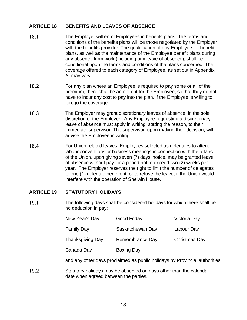# <span id="page-16-0"></span>**ARTICLE 18 BENEFITS AND LEAVES OF ABSENCE**

- $18.1$ The Employer will enrol Employees in benefits plans. The terms and conditions of the benefits plans will be those negotiated by the Employer with the benefits provider. The qualification of any Employee for benefit plans, as well as the maintenance of the Employee benefit plans during any absence from work (including any leave of absence), shall be conditional upon the terms and conditions of the plans concerned. The coverage offered to each category of Employee, as set out in Appendix A, may vary.
- $18.2$ For any plan where an Employee is required to pay some or all of the premium, there shall be an opt out for the Employee, so that they do not have to incur any cost to pay into the plan, if the Employee is willing to forego the coverage.
- $18.3$ The Employer may grant discretionary leaves of absence, in the sole discretion of the Employer. Any Employee requesting a discretionary leave of absence must apply in writing, stating the reason, to their immediate supervisor. The supervisor, upon making their decision, will advise the Employee in writing.
- 18.4 For Union related leaves, Employees selected as delegates to attend labour conventions or business meetings in connection with the affairs of the Union, upon giving seven (7) days' notice, may be granted leave of absence without pay for a period not to exceed two (2) weeks per year. The Employer reserves the right to limit the number of delegates to one (1) delegate per event, or to refuse the leave, if the Union would interfere with the operation of Shelwin House.

# <span id="page-16-1"></span>**ARTICLE 19 STATUTORY HOLIDAYS**

 $19.1$ The following days shall be considered holidays for which there shall be no deduction in pay:

| New Year's Day   | <b>Good Friday</b> | Victoria Day  |
|------------------|--------------------|---------------|
| Family Day       | Saskatchewan Day   | Labour Day    |
| Thanksgiving Day | Remembrance Day    | Christmas Day |
| Canada Day       | <b>Boxing Day</b>  |               |

and any other days proclaimed as public holidays by Provincial authorities.

 $19.2$ Statutory holidays may be observed on days other than the calendar date when agreed between the parties.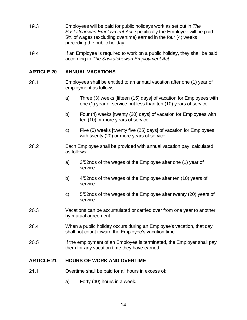- $19.3$ Employees will be paid for public holidays work as set out in *The Saskatchewan Employment Act*, specifically the Employee will be paid 5% of wages (excluding overtime) earned in the four (4) weeks preceding the public holiday.
- $19.4$ If an Employee is required to work on a public holiday, they shall be paid according to *The Saskatchewan Employment Act.*

# <span id="page-17-0"></span>**ARTICLE 20 ANNUAL VACATIONS**

- $20.1$ Employees shall be entitled to an annual vacation after one (1) year of employment as follows:
	- a) Three (3) weeks [fifteen (15) days] of vacation for Employees with one (1) year of service but less than ten (10) years of service.
	- b) Four (4) weeks [twenty (20) days] of vacation for Employees with ten (10) or more years of service.
	- c) Five (5) weeks [twenty five (25) days] of vacation for Employees with twenty (20) or more years of service.
- $20.2$ Each Employee shall be provided with annual vacation pay, calculated as follows:
	- a) 3/52nds of the wages of the Employee after one (1) year of service.
	- b) 4/52nds of the wages of the Employee after ten (10) years of service.
	- c) 5/52nds of the wages of the Employee after twenty (20) years of service.
- 20.3 Vacations can be accumulated or carried over from one year to another by mutual agreement.
- $20.4$ When a public holiday occurs during an Employee's vacation, that day shall not count toward the Employee's vacation time.
- 20.5 If the employment of an Employee is terminated, the Employer shall pay them for any vacation time they have earned.

# <span id="page-17-1"></span>**ARTICLE 21 HOURS OF WORK AND OVERTIME**

- $21.1$ Overtime shall be paid for all hours in excess of:
	- a) Forty (40) hours in a week.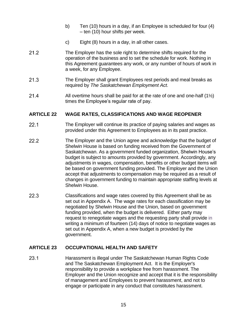- b) Ten (10) hours in a day, if an Employee is scheduled for four (4) – ten (10) hour shifts per week.
- c) Eight (8) hours in a day, in all other cases.
- $21.2$ The Employer has the sole right to determine shifts required for the operation of the business and to set the schedule for work. Nothing in this Agreement guarantees any work, or any number of hours of work in a week, for any Employee.
- $21.3$ The Employer shall grant Employees rest periods and meal breaks as required by *The Saskatchewan Employment Act*.
- $21.4$ All overtime hours shall be paid for at the rate of one and one-half  $(1\frac{1}{2})$ times the Employee's regular rate of pay.

# <span id="page-18-0"></span>**ARTICLE 22 WAGE RATES, CLASSIFICATIONS AND WAGE REOPENER**

- $22.1$ The Employer will continue its practice of paying salaries and wages as provided under this Agreement to Employees as in its past practice.
- $22.2$ The Employer and the Union agree and acknowledge that the budget of Shelwin House is based on funding received from the Government of Saskatchewan. As a government funded organization, Shelwin House's budget is subject to amounts provided by government. Accordingly, any adjustments in wages, compensation, benefits or other budget items will be based on government funding provided. The Employer and the Union accept that adjustments to compensation may be required as a result of changes in government funding to maintain appropriate staffing levels at Shelwin House.
- 22.3 Classifications and wage rates covered by this Agreement shall be as set out in Appendix A. The wage rates for each classification may be negotiated by Shelwin House and the Union, based on government funding provided, when the budget is delivered. Either party may request to renegotiate wages and the requesting party shall provide in writing a minimum of fourteen (14) days of notice to negotiate wages as set out in Appendix A, when a new budget is provided by the government.

# <span id="page-18-1"></span>**ARTICLE 23 OCCUPATIONAL HEALTH AND SAFETY**

 $23.1$ Harassment is illegal under The Saskatchewan Human Rights Code and The Saskatchewan Employment Act. It is the Employer's responsibility to provide a workplace free from harassment. The Employer and the Union recognize and accept that it is the responsibility of management and Employees to prevent harassment, and not to engage or participate in any conduct that constitutes harassment.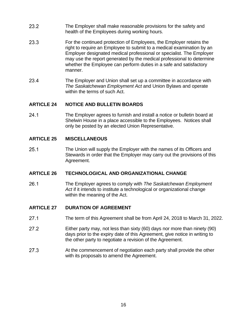- $23.2$ The Employer shall make reasonable provisions for the safety and health of the Employees during working hours.
- 23.3 For the continued protection of Employees, the Employer retains the right to require an Employee to submit to a medical examination by an Employer designated medical professional or specialist. The Employer may use the report generated by the medical professional to determine whether the Employee can perform duties in a safe and satisfactory manner.
- 23.4 The Employer and Union shall set up a committee in accordance with *The Saskatchewan Employment Act* and Union Bylaws and operate within the terms of such Act.

# <span id="page-19-0"></span>**ARTICLE 24 NOTICE AND BULLETIN BOARDS**

 $24.1$ The Employer agrees to furnish and install a notice or bulletin board at Shelwin House in a place accessible to the Employees. Notices shall only be posted by an elected Union Representative.

# <span id="page-19-1"></span>**ARTICLE 25 MISCELLANEOUS**

 $25.1$ The Union will supply the Employer with the names of its Officers and Stewards in order that the Employer may carry out the provisions of this Agreement.

# <span id="page-19-2"></span>**ARTICLE 26 TECHNOLOGICAL AND ORGANIZATIONAL CHANGE**

 $26.1$ The Employer agrees to comply with *The Saskatchewan Employment Act* if it intends to institute a technological or organizational change within the meaning of the Act.

# <span id="page-19-3"></span>**ARTICLE 27 DURATION OF AGREEMENT**

- $27.1$ The term of this Agreement shall be from April 24, 2018 to March 31, 2022.
- $27.2$ Either party may, not less than sixty (60) days nor more than ninety (90) days prior to the expiry date of this Agreement, give notice in writing to the other party to negotiate a revision of the Agreement.
- $27.3$ At the commencement of negotiation each party shall provide the other with its proposals to amend the Agreement.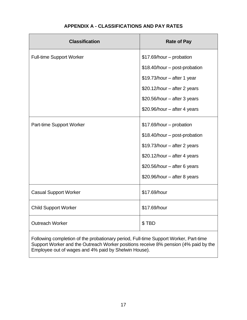<span id="page-20-0"></span>

| <b>Classification</b>                                                                | <b>Rate of Pay</b>            |  |  |  |
|--------------------------------------------------------------------------------------|-------------------------------|--|--|--|
| <b>Full-time Support Worker</b>                                                      | \$17.69/hour - probation      |  |  |  |
|                                                                                      | \$18.40/hour - post-probation |  |  |  |
|                                                                                      | \$19.73/hour - after 1 year   |  |  |  |
|                                                                                      | \$20.12/hour - after 2 years  |  |  |  |
|                                                                                      | \$20.56/hour - after 3 years  |  |  |  |
|                                                                                      | \$20.96/hour - after 4 years  |  |  |  |
| Part-time Support Worker                                                             | \$17.69/hour - probation      |  |  |  |
|                                                                                      | \$18.40/hour - post-probation |  |  |  |
|                                                                                      | \$19.73/hour - after 2 years  |  |  |  |
|                                                                                      | $$20.12/hour - after 4 years$ |  |  |  |
|                                                                                      | \$20.56/hour - after 6 years  |  |  |  |
|                                                                                      | \$20.96/hour - after 8 years  |  |  |  |
| <b>Casual Support Worker</b>                                                         | \$17.69/hour                  |  |  |  |
| <b>Child Support Worker</b>                                                          | \$17.69/hour                  |  |  |  |
| <b>Outreach Worker</b>                                                               | \$TBD                         |  |  |  |
| Eollowing completion of the probationary period. Full-time Support Worker, Part-time |                               |  |  |  |

# **APPENDIX A - CLASSIFICATIONS AND PAY RATES**

Following completion of the probationary period, Full-time Support Worker, Part-time Support Worker and the Outreach Worker positions receive 8% pension (4% paid by the Employee out of wages and 4% paid by Shelwin House).